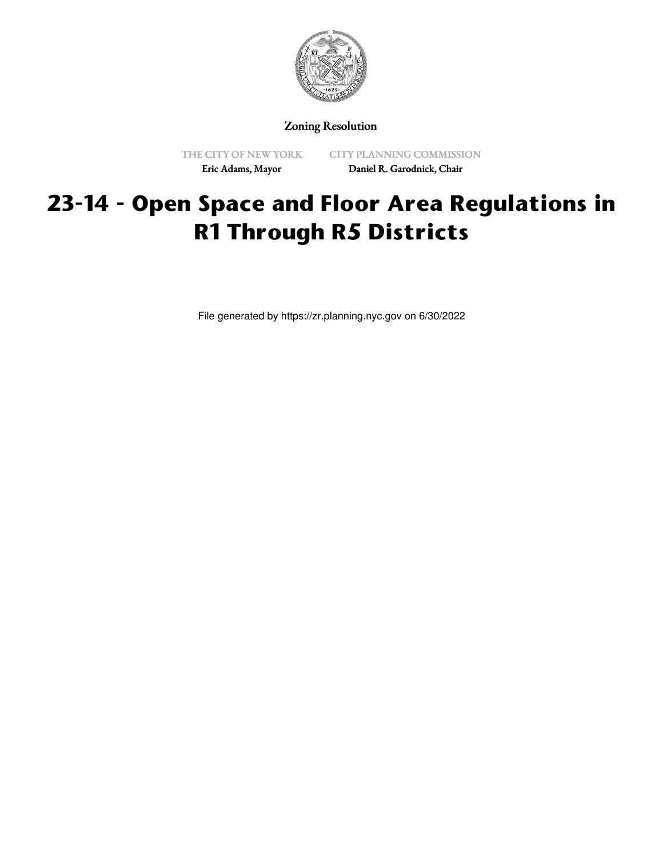

Zoning Resolution

THE CITY OF NEW YORK Eric Adams, Mayor

CITY PLANNING COMMISSION Daniel R. Garodnick, Chair

# **23-14 - Open Space and Floor Area Regulations in R1 Through R5 Districts**

File generated by https://zr.planning.nyc.gov on 6/30/2022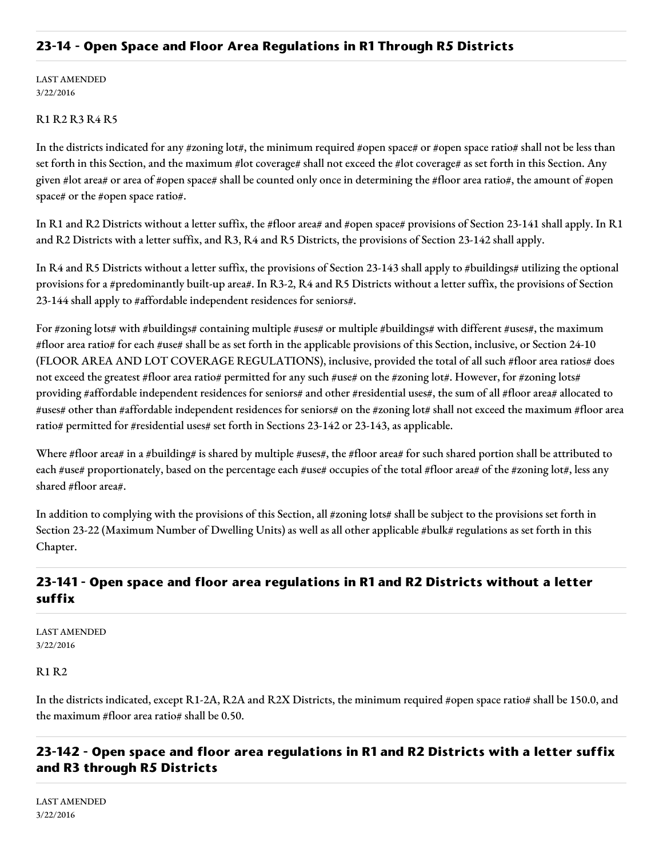## **23-14 - Open Space and Floor Area Regulations in R1 Through R5 Districts**

LAST AMENDED 3/22/2016

#### R1 R2 R3 R4 R5

In the districts indicated for any #zoning lot#, the minimum required #open space# or #open space ratio# shall not be less than set forth in this Section, and the maximum #lot coverage# shall not exceed the #lot coverage# as set forth in this Section. Any given #lot area# or area of #open space# shall be counted only once in determining the #floor area ratio#, the amount of #open space# or the #open space ratio#.

In R1 and R2 Districts without a letter suffix, the #floor area# and #open space# provisions of Section 23-141 shall apply. In R1 and R2 Districts with a letter suffix, and R3, R4 and R5 Districts, the provisions of Section 23-142 shall apply.

In R4 and R5 Districts without a letter suffix, the provisions of Section 23-143 shall apply to #buildings# utilizing the optional provisions for a #predominantly built-up area#. In R3-2, R4 and R5 Districts without a letter suffix, the provisions of Section 23-144 shall apply to #affordable independent residences for seniors#.

For #zoning lots# with #buildings# containing multiple #uses# or multiple #buildings# with different #uses#, the maximum #floor area ratio# for each #use# shall be as set forth in the applicable provisions of this Section, inclusive, or Section 24-10 (FLOOR AREA AND LOT COVERAGE REGULATIONS), inclusive, provided the total of all such #floor area ratios# does not exceed the greatest #floor area ratio# permitted for any such #use# on the #zoning lot#. However, for #zoning lots# providing #affordable independent residences for seniors# and other #residential uses#, the sum of all #floor area# allocated to #uses# other than #affordable independent residences for seniors# on the #zoning lot# shall not exceed the maximum #floor area ratio# permitted for #residential uses# set forth in Sections 23-142 or 23-143, as applicable.

Where #floor area# in a #building# is shared by multiple #uses#, the #floor area# for such shared portion shall be attributed to each #use# proportionately, based on the percentage each #use# occupies of the total #floor area# of the #zoning lot#, less any shared #floor area#.

In addition to complying with the provisions of this Section, all #zoning lots# shall be subject to the provisions set forth in Section 23-22 (Maximum Number of Dwelling Units) as well as all other applicable #bulk# regulations as set forth in this Chapter.

## **23-141 - Open space and floor area regulations in R1 and R2 Districts without a letter suffix**

LAST AMENDED 3/22/2016

#### R1 R2

In the districts indicated, except R1-2A, R2A and R2X Districts, the minimum required #open space ratio# shall be 150.0, and the maximum #floor area ratio# shall be 0.50.

# **23-142 - Open space and floor area regulations in R1 and R2 Districts with a letter suffix and R3 through R5 Districts**

LAST AMENDED 3/22/2016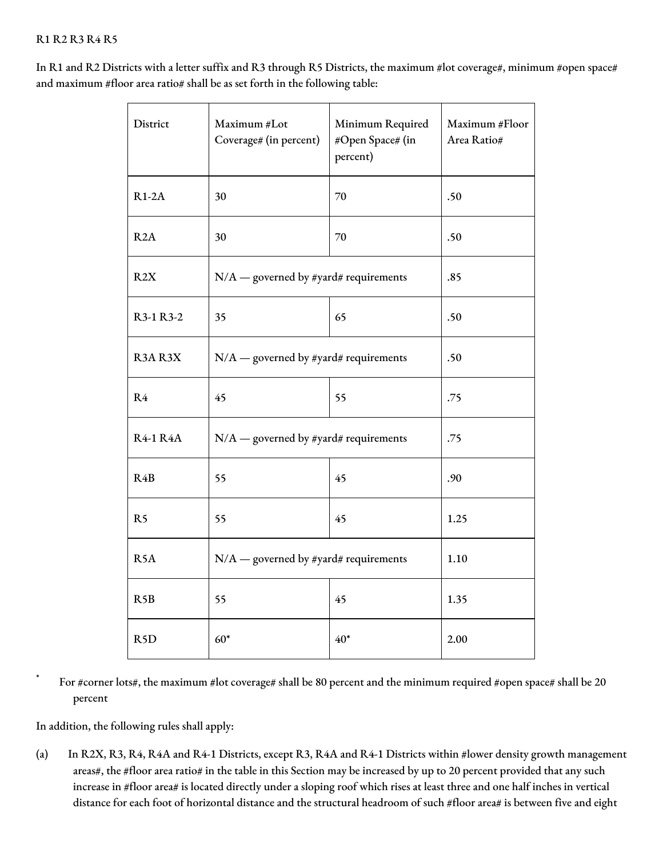### R1 R2 R3 R4 R5

In R1 and R2 Districts with a letter suffix and R3 through R5 Districts, the maximum #lot coverage#, minimum #open space# and maximum #floor area ratio# shall be as set forth in the following table:

| District         | Maximum #Lot<br>Coverage# (in percent)  | Minimum Required<br>#Open Space# (in<br>percent) | Maximum #Floor<br>Area Ratio# |
|------------------|-----------------------------------------|--------------------------------------------------|-------------------------------|
| $R1-2A$          | 30                                      | 70                                               | .50                           |
| R2A              | 30                                      | 70                                               | .50                           |
| R2X              | $N/A$ — governed by #yard# requirements |                                                  | .85                           |
| R3-1 R3-2        | 35                                      | 65                                               | .50                           |
| R3AR3X           | $N/A$ — governed by #yard# requirements |                                                  | .50                           |
| R4               | 45                                      | 55                                               | .75                           |
| <b>R4-1 R4A</b>  | $N/A$ — governed by #yard# requirements |                                                  | .75                           |
| R4B              | 55                                      | 45                                               | .90                           |
| R <sub>5</sub>   | 55                                      | 45                                               | 1.25                          |
| R <sub>5</sub> A | $N/A$ — governed by #yard# requirements |                                                  | 1.10                          |
| R5B              | 55                                      | 45                                               | 1.35                          |
| R <sub>5</sub> D | $60*$                                   | $40*$                                            | 2.00                          |

For #corner lots#, the maximum #lot coverage# shall be 80 percent and the minimum required #open space# shall be 20 percent

In addition, the following rules shall apply:

(a) In R2X, R3, R4, R4A and R4-1 Districts, except R3, R4A and R4-1 Districts within #lower density growth management areas#, the #floor area ratio# in the table in this Section may be increased by up to 20 percent provided that any such increase in #floor area# is located directly under a sloping roof which rises at least three and one half inches in vertical distance for each foot of horizontal distance and the structural headroom of such #floor area# is between five and eight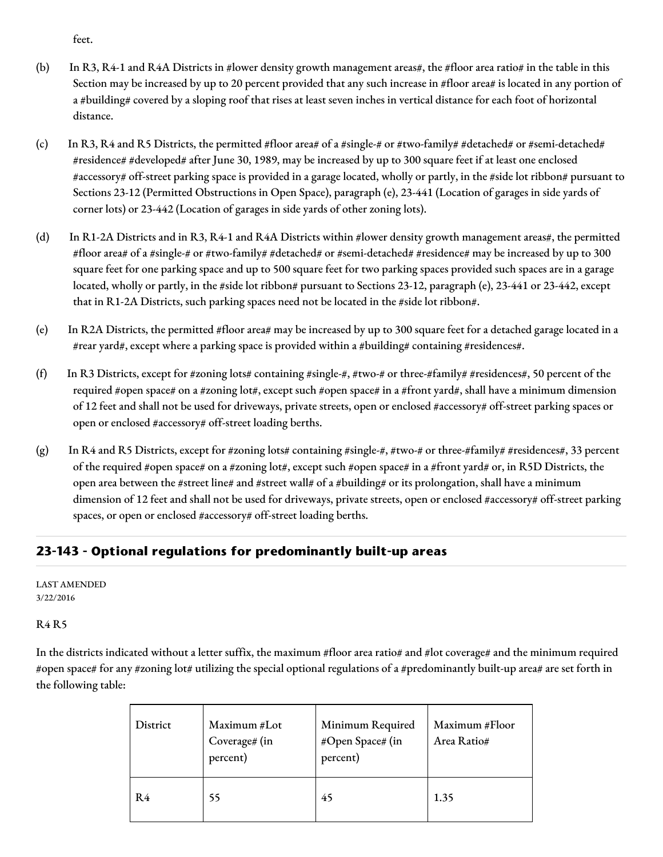feet.

- (b) In R3, R4-1 and R4A Districts in #lower density growth management areas#, the #floor area ratio# in the table in this Section may be increased by up to 20 percent provided that any such increase in #floor area# is located in any portion of a #building# covered by a sloping roof that rises at least seven inches in vertical distance for each foot of horizontal distance.
- (c) In R3, R4 and R5 Districts, the permitted #floor area# of a #single-# or #two-family# #detached# or #semi-detached# #residence# #developed# after June 30, 1989, may be increased by up to 300 square feet if at least one enclosed #accessory# off-street parking space is provided in a garage located, wholly or partly, in the #side lot ribbon# pursuant to Sections 23-12 (Permitted Obstructions in Open Space), paragraph (e), 23-441 (Location of garages in side yards of corner lots) or 23-442 (Location of garages in side yards of other zoning lots).
- (d) In R1-2A Districts and in R3, R4-1 and R4A Districts within #lower density growth management areas#, the permitted #floor area# of a #single-# or #two-family# #detached# or #semi-detached# #residence# may be increased by up to 300 square feet for one parking space and up to 500 square feet for two parking spaces provided such spaces are in a garage located, wholly or partly, in the #side lot ribbon# pursuant to Sections 23-12, paragraph (e), 23-441 or 23-442, except that in R1-2A Districts, such parking spaces need not be located in the #side lot ribbon#.
- (e) In R2A Districts, the permitted #floor area# may be increased by up to 300 square feet for a detached garage located in a #rear yard#, except where a parking space is provided within a #building# containing #residences#.
- (f) In R3 Districts, except for #zoning lots# containing #single-#, #two-# or three-#family# #residences#, 50 percent of the required #open space# on a #zoning lot#, except such #open space# in a #front yard#, shall have a minimum dimension of 12 feet and shall not be used for driveways, private streets, open or enclosed #accessory# off-street parking spaces or open or enclosed #accessory# off-street loading berths.
- (g) In R4 and R5 Districts, except for #zoning lots# containing #single-#, #two-# or three-#family# #residences#, 33 percent of the required #open space# on a #zoning lot#, except such #open space# in a #front yard# or, in R5D Districts, the open area between the #street line# and #street wall# of a #building# or its prolongation, shall have a minimum dimension of 12 feet and shall not be used for driveways, private streets, open or enclosed #accessory# off-street parking spaces, or open or enclosed #accessory# off-street loading berths.

## **23-143 - Optional regulations for predominantly built-up areas**

LAST AMENDED 3/22/2016

#### R4 R5

In the districts indicated without a letter suffix, the maximum #floor area ratio# and #lot coverage# and the minimum required #open space# for any #zoning lot# utilizing the special optional regulations of a #predominantly built-up area# are set forth in the following table:

| District | Maximum #Lot<br>Coverage# (in<br>percent) | Minimum Required<br>#Open Space# (in<br>percent) | Maximum #Floor<br>Area Ratio# |
|----------|-------------------------------------------|--------------------------------------------------|-------------------------------|
| R4       | 55                                        | 45                                               | 1.35                          |